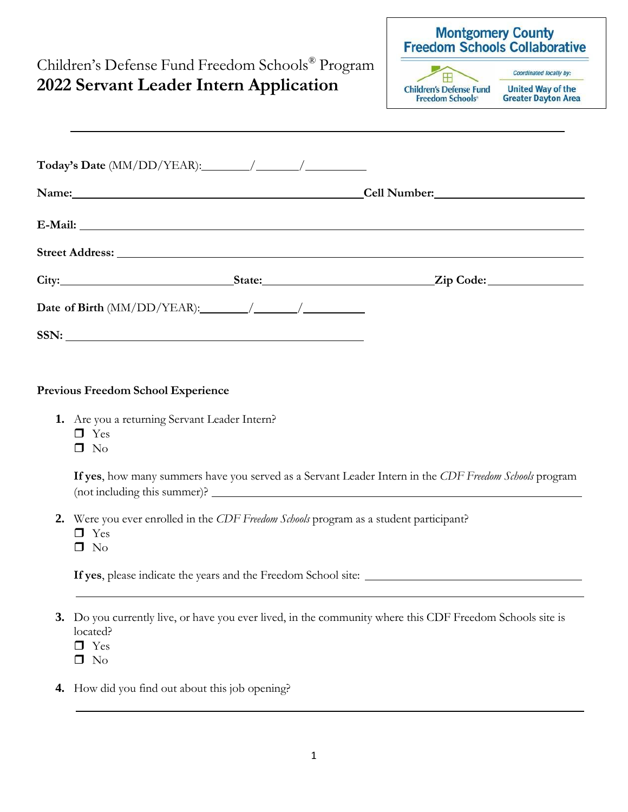|                                                                                                                                                                                                                                |                                                                                                                                                                                                                               | Freedom Schools Collaborative |                                                                          |                                                                                   |
|--------------------------------------------------------------------------------------------------------------------------------------------------------------------------------------------------------------------------------|-------------------------------------------------------------------------------------------------------------------------------------------------------------------------------------------------------------------------------|-------------------------------|--------------------------------------------------------------------------|-----------------------------------------------------------------------------------|
| Children's Defense Fund Freedom Schools® Program<br>2022 Servant Leader Intern Application                                                                                                                                     |                                                                                                                                                                                                                               |                               | $\mathbf{H}$<br><b>Children's Defense Fund</b><br><b>Freedom Schools</b> | Coordinated locally by:<br><b>United Way of the</b><br><b>Greater Dayton Area</b> |
|                                                                                                                                                                                                                                |                                                                                                                                                                                                                               |                               |                                                                          |                                                                                   |
|                                                                                                                                                                                                                                | Name: Name:<br>Cell Number: 1988                                                                                                                                                                                              |                               |                                                                          |                                                                                   |
|                                                                                                                                                                                                                                |                                                                                                                                                                                                                               |                               |                                                                          |                                                                                   |
| Street Address: The Street Address of the Street Address of the Street Address of the Street Address of the Street Address of the Street Address of the Street Address of the Street Address of the Street Address of the Stre |                                                                                                                                                                                                                               |                               |                                                                          |                                                                                   |
|                                                                                                                                                                                                                                | City: City: City: City: City: City: City: City: Code: City: Code: City: Code: City: Code: City: Code: City: Code: City: Code: City: Code: City: Code: City: Code: City: Code: City: Code: City: Code: City: City: Code: City: |                               |                                                                          |                                                                                   |
| Date of Birth $(MM/DD/YEAR)$ : $\qquad \qquad / \qquad \qquad / \qquad \qquad$                                                                                                                                                 |                                                                                                                                                                                                                               |                               |                                                                          |                                                                                   |
|                                                                                                                                                                                                                                |                                                                                                                                                                                                                               |                               |                                                                          |                                                                                   |

**Montgomery County** 

## **Previous Freedom School Experience**

- **1.** Are you a returning Servant Leader Intern?
	- □ Yes
	- $\square$  No

**If yes**, how many summers have you served as a Servant Leader Intern in the *CDF Freedom Schools* program (not including this summer)?

- **2.** Were you ever enrolled in the *CDF Freedom Schools* program as a student participant?
	- □ Yes
	- $\square$  No

**If yes**, please indicate the years and the Freedom School site:

- **3.** Do you currently live, or have you ever lived, in the community where this CDF Freedom Schools site is located?
	- □ Yes
	- $\Box$  No
- **4.** How did you find out about this job opening?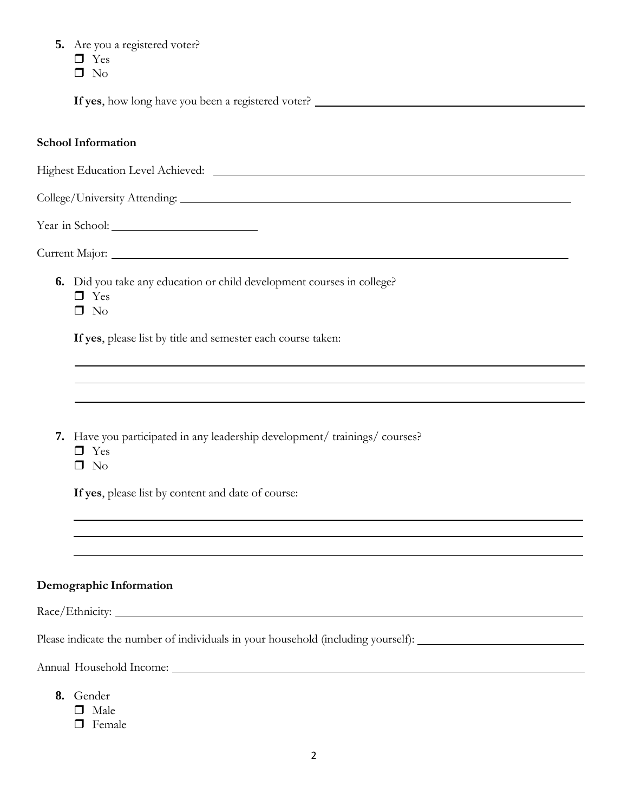| 5. Are you a registered voter?                                                                                 |
|----------------------------------------------------------------------------------------------------------------|
| $\Box$ Yes                                                                                                     |
| $\Box$ No                                                                                                      |
|                                                                                                                |
| <b>School Information</b>                                                                                      |
|                                                                                                                |
|                                                                                                                |
|                                                                                                                |
|                                                                                                                |
|                                                                                                                |
| 6. Did you take any education or child development courses in college?<br>$\Box$ Yes<br>$\Box$ No              |
| If yes, please list by title and semester each course taken:                                                   |
|                                                                                                                |
|                                                                                                                |
| 7. Have you participated in any leadership development/ trainings/ courses?<br>$\Box$ Yes<br>$\square$ No      |
| If yes, please list by content and date of course:                                                             |
|                                                                                                                |
|                                                                                                                |
| Demographic Information                                                                                        |
|                                                                                                                |
| Please indicate the number of individuals in your household (including yourself): ____________________________ |
|                                                                                                                |
| 8. Gender<br>$\Box$ Male<br>$\Box$ Female                                                                      |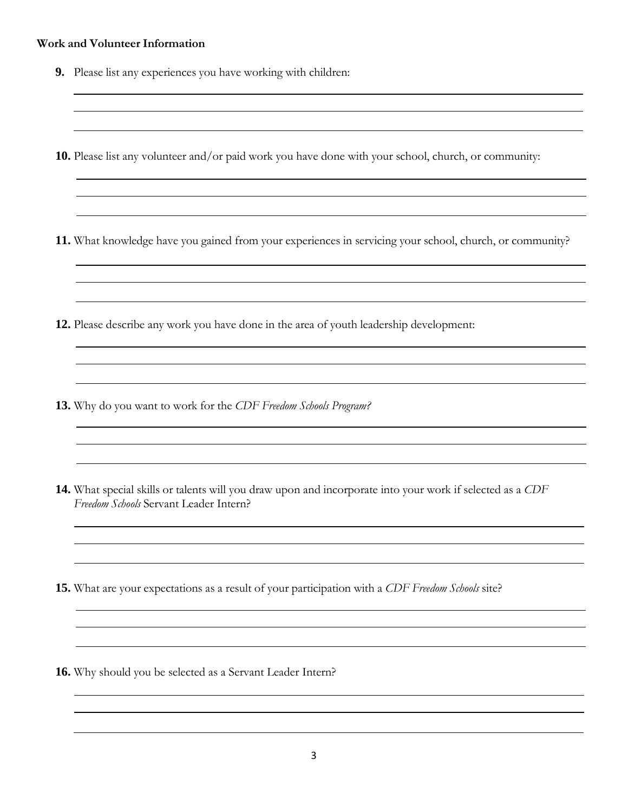## **Work and Volunteer Information**

- **9.** Please list any experiences you have working with children:
- **10.** Please list any volunteer and/or paid work you have done with your school, church, or community:
- **11.** What knowledge have you gained from your experiences in servicing your school, church, or community?
- **12.** Please describe any work you have done in the area of youth leadership development:
- **13.** Why do you want to work for the *CDF Freedom Schools Program?*
- **14.** What special skills or talents will you draw upon and incorporate into your work if selected as a *CDF Freedom Schools* Servant Leader Intern?
- **15.** What are your expectations as a result of your participation with a *CDF Freedom Schools* site?
- **16.** Why should you be selected as a Servant Leader Intern?

<u> 1980 - Johann Barn, mars ann an t-Amhain Aonaichte ann an t-Aonaichte ann an t-Aonaichte ann an t-Aonaichte a</u>